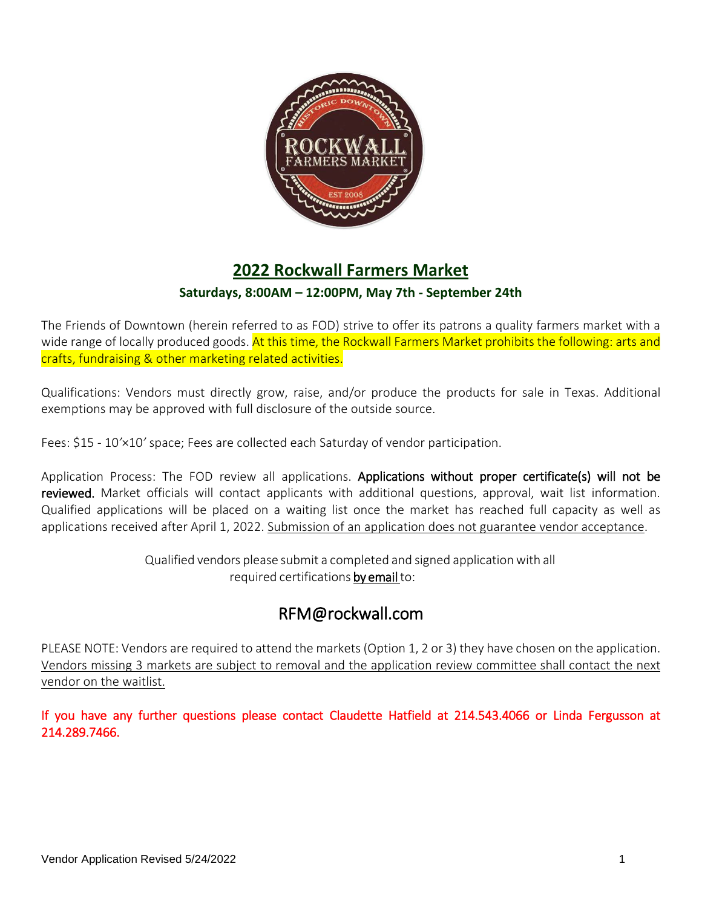

# **2022 Rockwall Farmers Market**

### **Saturdays, 8:00AM – 12:00PM, May 7th - September 24th**

The Friends of Downtown (herein referred to as FOD) strive to offer its patrons a quality farmers market with a wide range of locally produced goods. At this time, the Rockwall Farmers Market prohibits the following: arts and crafts, fundraising & other marketing related activities.

Qualifications: Vendors must directly grow, raise, and/or produce the products for sale in Texas. Additional exemptions may be approved with full disclosure of the outside source.

Fees: \$15 - 10*'*×10*'* space; Fees are collected each Saturday of vendor participation.

Application Process: The FOD review all applications. Applications without proper certificate(s) will not be reviewed. Market officials will contact applicants with additional questions, approval, wait list information. Qualified applications will be placed on a waiting list once the market has reached full capacity as well as applications received after April 1, 2022. Submission of an application does not guarantee vendor acceptance.

> Qualified vendors please submit a completed and signed applicationwith all required certifications by email to:

# RFM@rockwall.com

PLEASE NOTE: Vendors are required to attend the markets (Option 1, 2 or 3) they have chosen on the application. Vendors missing 3 markets are subject to removal and the application review committee shall contact the next vendor on the waitlist.

If you have any further questions please contact Claudette Hatfield at 214.543.4066 or Linda Fergusson at 214.289.7466.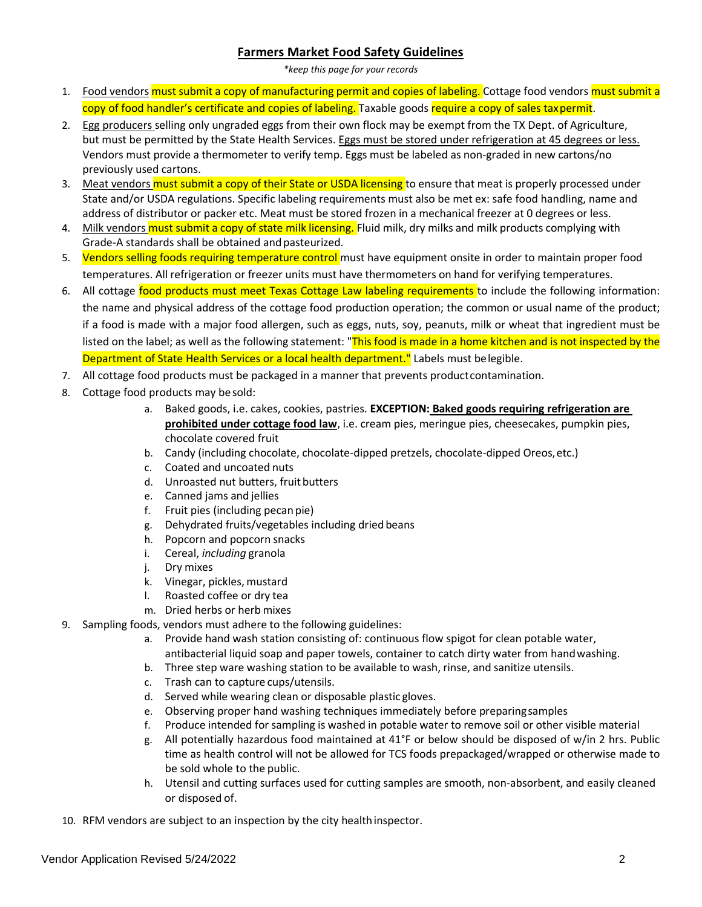#### **Farmers Market Food Safety Guidelines**

*\*keep this page for your records*

- 1. Food vendors must submit a copy of manufacturing permit and copies of labeling. Cottage food vendors must submit a copy of food handler's certificate and copies of labeling. Taxable goods require a copy of sales taxpermit.
- 2. Egg producers selling only ungraded eggs from their own flock may be exempt from the TX Dept. of Agriculture, but must be permitted by the State Health Services. Eggs must be stored under refrigeration at 45 degrees or less. Vendors must provide a thermometer to verify temp. Eggs must be labeled as non-graded in new cartons/no previously used cartons.
- 3. Meat vendors must submit a copy of their State or USDA licensing to ensure that meat is properly processed under State and/or USDA regulations. Specific labeling requirements must also be met ex: safe food handling, name and address of distributor or packer etc. Meat must be stored frozen in a mechanical freezer at 0 degrees or less.
- 4. Milk vendors must submit a copy of state milk licensing. Fluid milk, dry milks and milk products complying with Grade-A standards shall be obtained andpasteurized.
- 5. Vendors selling foods requiring temperature control must have equipment onsite in order to maintain proper food temperatures. All refrigeration or freezer units must have thermometers on hand for verifying temperatures.
- 6. All cottage food products must meet Texas Cottage Law labeling requirements to include the following information: the name and physical address of the cottage food production operation; the common or usual name of the product; if a food is made with a major food allergen, such as eggs, nuts, soy, peanuts, milk or wheat that ingredient must be listed on the label; as well as the following statement: "This food is made in a home kitchen and is not inspected by the Department of State Health Services or a local health department." Labels must belegible.
- 7. All cottage food products must be packaged in a manner that prevents productcontamination.
- 8. Cottage food products may besold:
	- a. Baked goods, i.e. cakes, cookies, pastries. **EXCEPTION: Baked goods requiring refrigeration are prohibited under cottage food law**, i.e. cream pies, meringue pies, cheesecakes, pumpkin pies, chocolate covered fruit
	- b. Candy (including chocolate, chocolate-dipped pretzels, chocolate-dipped Oreos,etc.)
	- c. Coated and uncoated nuts
	- d. Unroasted nut butters, fruit butters
	- e. Canned jams and jellies
	- f. Fruit pies (including pecan pie)
	- g. Dehydrated fruits/vegetables including dried beans
	- h. Popcorn and popcorn snacks
	- i. Cereal, *including* granola
	- j. Dry mixes
	- k. Vinegar, pickles, mustard
	- l. Roasted coffee or dry tea
	- m. Dried herbs or herb mixes
- 9. Sampling foods, vendors must adhere to the following guidelines:
	- a. Provide hand wash station consisting of: continuous flow spigot for clean potable water, antibacterial liquid soap and paper towels, container to catch dirty water from handwashing.
	- b. Three step ware washing station to be available to wash, rinse, and sanitize utensils.
	- c. Trash can to capture cups/utensils.
	- d. Served while wearing clean or disposable plastic gloves.
	- e. Observing proper hand washing techniques immediately before preparingsamples
	- f. Produce intended for sampling is washed in potable water to remove soil or other visible material
	- g. All potentially hazardous food maintained at 41°F or below should be disposed of w/in 2 hrs. Public time as health control will not be allowed for TCS foods prepackaged/wrapped or otherwise made to be sold whole to the public.
	- h. Utensil and cutting surfaces used for cutting samples are smooth, non-absorbent, and easily cleaned or disposed of.
- 10. RFM vendors are subject to an inspection by the city healthinspector.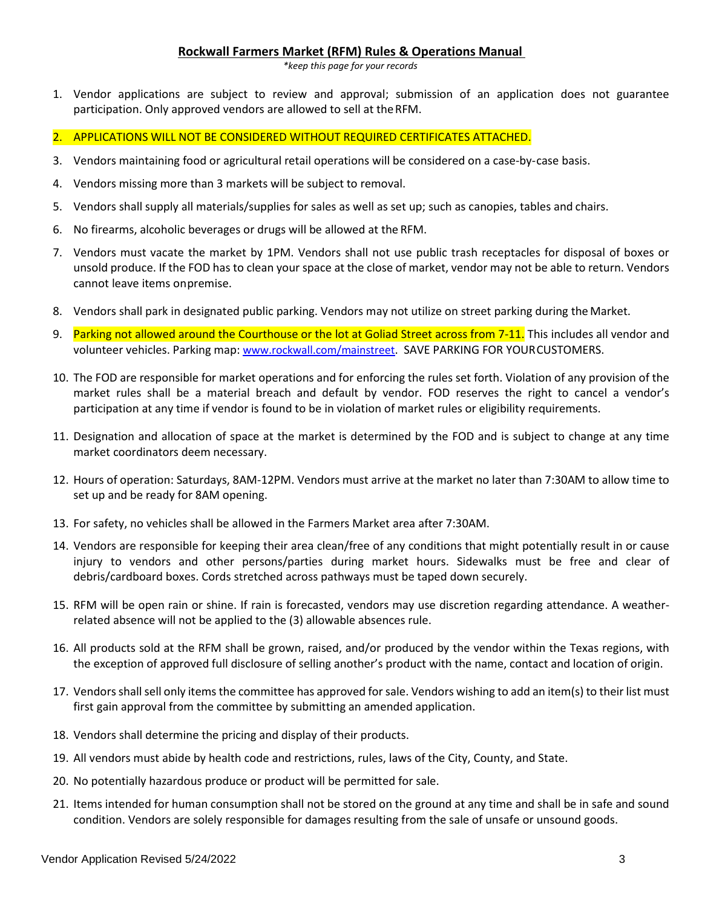#### **Rockwall Farmers Market (RFM) Rules & Operations Manual**

*\*keep this page for your records*

- 1. Vendor applications are subject to review and approval; submission of an application does not guarantee participation. Only approved vendors are allowed to sell at theRFM.
- 2. APPLICATIONS WILL NOT BE CONSIDERED WITHOUT REQUIRED CERTIFICATES ATTACHED.
- 3. Vendors maintaining food or agricultural retail operations will be considered on a case-by-case basis.
- 4. Vendors missing more than 3 markets will be subject to removal.
- 5. Vendors shall supply all materials/supplies for sales as well as set up; such as canopies, tables and chairs.
- 6. No firearms, alcoholic beverages or drugs will be allowed at the RFM.
- 7. Vendors must vacate the market by 1PM. Vendors shall not use public trash receptacles for disposal of boxes or unsold produce. If the FOD has to clean your space at the close of market, vendor may not be able to return. Vendors cannot leave items onpremise.
- 8. Vendors shall park in designated public parking. Vendors may not utilize on street parking during theMarket.
- 9. Parking not allowed around the Courthouse or the lot at Goliad Street across from 7-11. This includes all vendor and volunteer vehicles. Parking map: [www.rockwall.com/mainstreet.](http://www.rockwall.com/mainstreet) SAVE PARKING FOR YOURCUSTOMERS.
- 10. The FOD are responsible for market operations and for enforcing the rules set forth. Violation of any provision of the market rules shall be a material breach and default by vendor. FOD reserves the right to cancel a vendor's participation at any time if vendor is found to be in violation of market rules or eligibility requirements.
- 11. Designation and allocation of space at the market is determined by the FOD and is subject to change at any time market coordinators deem necessary.
- 12. Hours of operation: Saturdays, 8AM-12PM. Vendors must arrive at the market no later than 7:30AM to allow time to set up and be ready for 8AM opening.
- 13. For safety, no vehicles shall be allowed in the Farmers Market area after 7:30AM.
- 14. Vendors are responsible for keeping their area clean/free of any conditions that might potentially result in or cause injury to vendors and other persons/parties during market hours. Sidewalks must be free and clear of debris/cardboard boxes. Cords stretched across pathways must be taped down securely.
- 15. RFM will be open rain or shine. If rain is forecasted, vendors may use discretion regarding attendance. A weatherrelated absence will not be applied to the (3) allowable absences rule.
- 16. All products sold at the RFM shall be grown, raised, and/or produced by the vendor within the Texas regions, with the exception of approved full disclosure of selling another's product with the name, contact and location of origin.
- 17. Vendors shall sell only items the committee has approved for sale. Vendors wishing to add an item(s) to their list must first gain approval from the committee by submitting an amended application.
- 18. Vendors shall determine the pricing and display of their products.
- 19. All vendors must abide by health code and restrictions, rules, laws of the City, County, and State.
- 20. No potentially hazardous produce or product will be permitted for sale.
- 21. Items intended for human consumption shall not be stored on the ground at any time and shall be in safe and sound condition. Vendors are solely responsible for damages resulting from the sale of unsafe or unsound goods.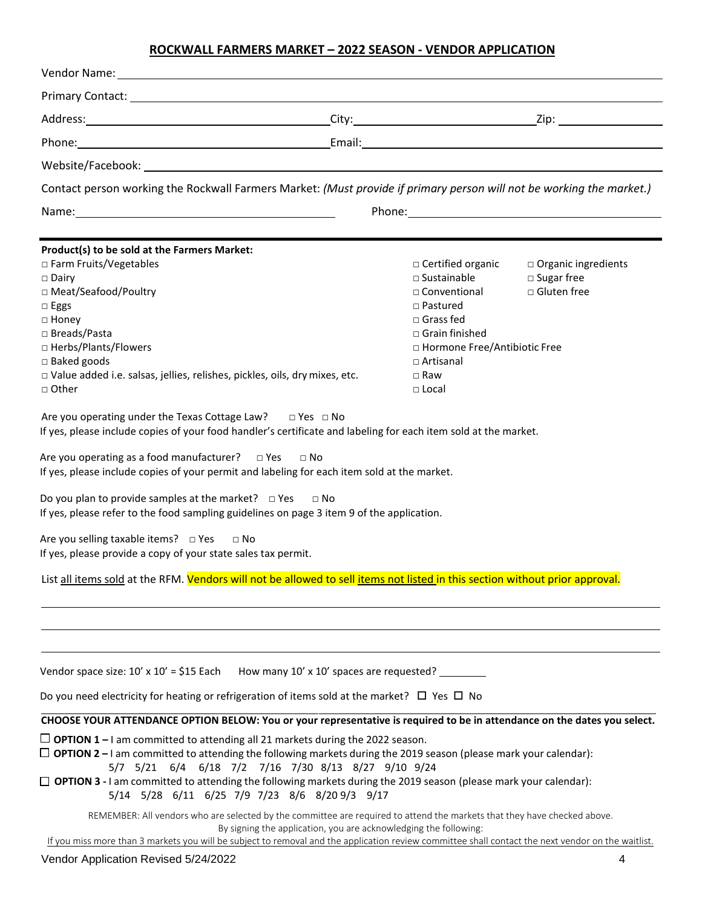### **ROCKWALL FARMERS MARKET – 2022 SEASON - VENDOR APPLICATION**

| Phone: 2008 Contract Contract Contract Contract Contract Contract Contract Contract Contract Contract Contract Contract Contract Contract Contract Contract Contract Contract Contract Contract Contract Contract Contract Con                                                                                                                                                                                                                                                                                                                                                                                                                                                                                                                                                                                                                                                                                                                                          |                                                                                                                                                                                                                      |                                                                |
|-------------------------------------------------------------------------------------------------------------------------------------------------------------------------------------------------------------------------------------------------------------------------------------------------------------------------------------------------------------------------------------------------------------------------------------------------------------------------------------------------------------------------------------------------------------------------------------------------------------------------------------------------------------------------------------------------------------------------------------------------------------------------------------------------------------------------------------------------------------------------------------------------------------------------------------------------------------------------|----------------------------------------------------------------------------------------------------------------------------------------------------------------------------------------------------------------------|----------------------------------------------------------------|
|                                                                                                                                                                                                                                                                                                                                                                                                                                                                                                                                                                                                                                                                                                                                                                                                                                                                                                                                                                         |                                                                                                                                                                                                                      |                                                                |
| Contact person working the Rockwall Farmers Market: (Must provide if primary person will not be working the market.)                                                                                                                                                                                                                                                                                                                                                                                                                                                                                                                                                                                                                                                                                                                                                                                                                                                    |                                                                                                                                                                                                                      |                                                                |
|                                                                                                                                                                                                                                                                                                                                                                                                                                                                                                                                                                                                                                                                                                                                                                                                                                                                                                                                                                         |                                                                                                                                                                                                                      |                                                                |
|                                                                                                                                                                                                                                                                                                                                                                                                                                                                                                                                                                                                                                                                                                                                                                                                                                                                                                                                                                         |                                                                                                                                                                                                                      |                                                                |
| Product(s) to be sold at the Farmers Market:<br>□ Farm Fruits/Vegetables<br>$\Box$ Dairy<br>□ Meat/Seafood/Poultry<br>$\Box$ Eggs<br>$\Box$ Honey<br>□ Breads/Pasta<br>□ Herbs/Plants/Flowers<br>$\square$ Baked goods<br>□ Value added i.e. salsas, jellies, relishes, pickles, oils, dry mixes, etc.<br>$\Box$ Other<br>Are you operating under the Texas Cottage Law? $\Box$ Yes $\Box$ No<br>If yes, please include copies of your food handler's certificate and labeling for each item sold at the market.<br>Are you operating as a food manufacturer?  □ Yes  □ No<br>If yes, please include copies of your permit and labeling for each item sold at the market.<br>Do you plan to provide samples at the market? $\Box$ Yes $\Box$ No<br>If yes, please refer to the food sampling guidelines on page 3 item 9 of the application.<br>Are you selling taxable items? $\Box$ Yes<br>$\Box$ No<br>If yes, please provide a copy of your state sales tax permit. | $\Box$ Certified organic<br>$\Box$ Sustainable<br>□ Conventional<br>$\Box$ Pastured<br>$\Box$ Grass fed<br>$\Box$ Grain finished<br>□ Hormone Free/Antibiotic Free<br>$\Box$ Artisanal<br>$\Box$ Raw<br>$\Box$ Local | □ Organic ingredients<br>$\square$ Sugar free<br>□ Gluten free |
| List all items sold at the RFM. Vendors will not be allowed to sell items not listed in this section without prior approval.                                                                                                                                                                                                                                                                                                                                                                                                                                                                                                                                                                                                                                                                                                                                                                                                                                            |                                                                                                                                                                                                                      |                                                                |
|                                                                                                                                                                                                                                                                                                                                                                                                                                                                                                                                                                                                                                                                                                                                                                                                                                                                                                                                                                         |                                                                                                                                                                                                                      |                                                                |
| Vendor space size: $10' \times 10' = $15$ Each                                                                                                                                                                                                                                                                                                                                                                                                                                                                                                                                                                                                                                                                                                                                                                                                                                                                                                                          | How many 10' x 10' spaces are requested? ________                                                                                                                                                                    |                                                                |
| Do you need electricity for heating or refrigeration of items sold at the market? $\Box$ Yes $\Box$ No                                                                                                                                                                                                                                                                                                                                                                                                                                                                                                                                                                                                                                                                                                                                                                                                                                                                  |                                                                                                                                                                                                                      |                                                                |
| CHOOSE YOUR ATTENDANCE OPTION BELOW: You or your representative is required to be in attendance on the dates you select.                                                                                                                                                                                                                                                                                                                                                                                                                                                                                                                                                                                                                                                                                                                                                                                                                                                |                                                                                                                                                                                                                      |                                                                |
| $\Box$ OPTION 1 – I am committed to attending all 21 markets during the 2022 season.<br>$\Box$ OPTION 2 – I am committed to attending the following markets during the 2019 season (please mark your calendar):<br>5/7 5/21 6/4 6/18 7/2 7/16 7/30 8/13 8/27 9/10 9/24<br>$\Box$ OPTION 3 - I am committed to attending the following markets during the 2019 season (please mark your calendar):                                                                                                                                                                                                                                                                                                                                                                                                                                                                                                                                                                       |                                                                                                                                                                                                                      |                                                                |
| 5/14 5/28 6/11 6/25 7/9 7/23 8/6 8/209/3 9/17<br>REMEMBER: All vendors who are selected by the committee are required to attend the markets that they have checked above.<br>If you miss more than 3 markets you will be subject to removal and the application review committee shall contact the next vendor on the waitlist.                                                                                                                                                                                                                                                                                                                                                                                                                                                                                                                                                                                                                                         | By signing the application, you are acknowledging the following:                                                                                                                                                     |                                                                |